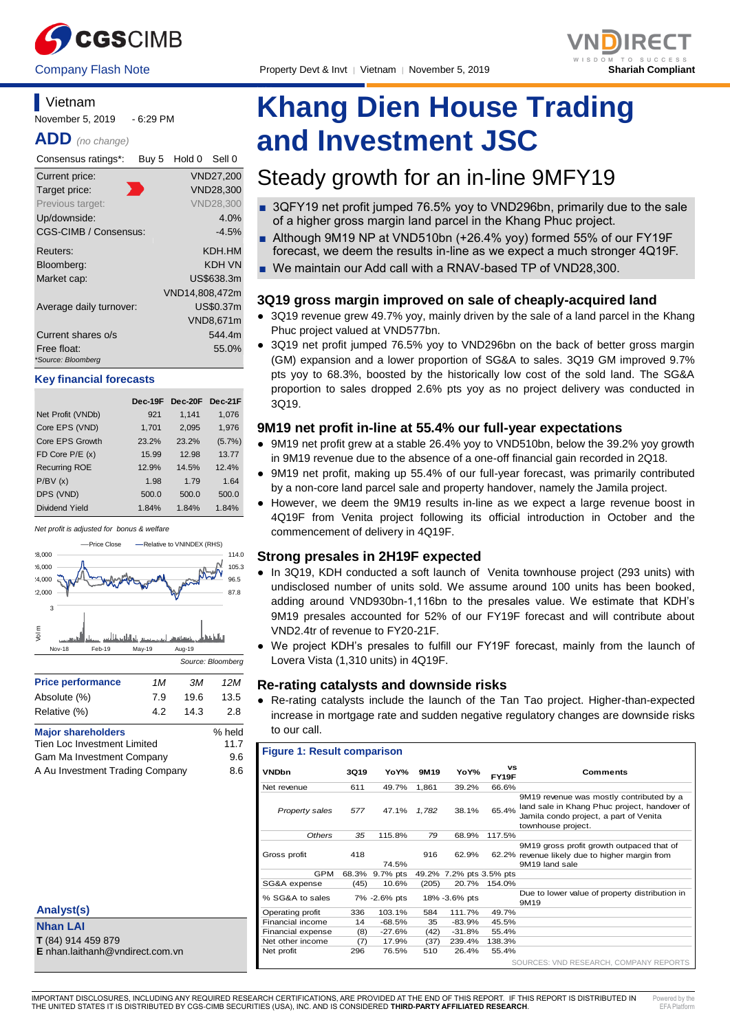



## **Vietnam**

November 5, 2019 - 6:29 PM

**ADD** *(no change)*

| Consensus ratings*:               | Buy 5 | Hold 0         | Sell 0           |
|-----------------------------------|-------|----------------|------------------|
| Current price:                    |       |                | <b>VND27,200</b> |
| Target price:                     |       |                | <b>VND28,300</b> |
| Previous target:                  |       |                | <b>VND28.300</b> |
| Up/downside:                      |       |                | 4.0%             |
| CGS-CIMB / Consensus:             |       |                | $-4.5%$          |
| Reuters:                          |       |                | KDH.HM           |
| Bloomberg:                        |       |                | KDH VN           |
| Market cap:                       |       |                | US\$638.3m       |
|                                   |       | VND14,808,472m |                  |
| Average daily turnover:           |       |                | US\$0.37m        |
|                                   |       |                | VND8,671m        |
| Current shares o/s                |       |                | 544.4m           |
| Free float:<br>*Source: Bloomberg |       |                | 55.0%            |

### **Key financial forecasts**

|                       | Dec-19F | Dec-20F Dec-21F |           |
|-----------------------|---------|-----------------|-----------|
| Net Profit (VNDb)     | 921     | 1,141           | 1,076     |
| Core EPS (VND)        | 1,701   | 2,095           | 1,976     |
| Core EPS Growth       | 23.2%   | 23.2%           | $(5.7\%)$ |
| FD Core $P/E(x)$      | 15.99   | 12.98           | 13.77     |
| <b>Recurring ROE</b>  | 12.9%   | 14.5%           | 12.4%     |
| P/BV(x)               | 1.98    | 1.79            | 1.64      |
| DPS (VND)             | 500.0   | 500.0           | 500.0     |
| <b>Dividend Yield</b> | 1.84%   | 1.84%           | 1.84%     |





| <b>Price performance</b>           | 1M   | ЗМ     | 12M  |
|------------------------------------|------|--------|------|
| Absolute (%)                       | 7.9  | 19.6   | 13.5 |
| Relative (%)                       | 42   | 14.3   | 2.8  |
| <b>Major shareholders</b>          |      | % held |      |
| <b>Tien Loc Investment Limited</b> | 11.7 |        |      |
| Gam Ma Investment Company          | 9.6  |        |      |

A Au Investment Trading Company 8.6

| Analyst(s)                      |  |
|---------------------------------|--|
| <b>Nhan LAI</b>                 |  |
| T (84) 914 459 879              |  |
| E nhan.laithanh@vndirect.com.vn |  |

# **Khang Dien House Trading and Investment JSC**

## Steady growth for an in-line 9MFY19

- 3QFY19 net profit jumped 76.5% yoy to VND296bn, primarily due to the sale of a higher gross margin land parcel in the Khang Phuc project.
- Although 9M19 NP at VND510bn (+26.4% yoy) formed 55% of our FY19F forecast, we deem the results in-line as we expect a much stronger 4Q19F.
- We maintain our Add call with a RNAV-based TP of VND28,300.

## **3Q19 gross margin improved on sale of cheaply-acquired land**

- 3Q19 revenue grew 49.7% yoy, mainly driven by the sale of a land parcel in the Khang Phuc project valued at VND577bn.
- 3Q19 net profit jumped 76.5% yoy to VND296bn on the back of better gross margin (GM) expansion and a lower proportion of SG&A to sales. 3Q19 GM improved 9.7% pts yoy to 68.3%, boosted by the historically low cost of the sold land. The SG&A proportion to sales dropped 2.6% pts yoy as no project delivery was conducted in 3Q19.

## **9M19 net profit in-line at 55.4% our full-year expectations**

- 9M19 net profit grew at a stable 26.4% yoy to VND510bn, below the 39.2% yoy growth in 9M19 revenue due to the absence of a one-off financial gain recorded in 2Q18.
- 9M19 net profit, making up 55.4% of our full-year forecast, was primarily contributed by a non-core land parcel sale and property handover, namely the Jamila project.
- However, we deem the 9M19 results in-line as we expect a large revenue boost in 4Q19F from Venita project following its official introduction in October and the commencement of delivery in 4Q19F.

## **Strong presales in 2H19F expected**

- In 3Q19, KDH conducted a soft launch of Venita townhouse project (293 units) with undisclosed number of units sold. We assume around 100 units has been booked, adding around VND930bn-1,116bn to the presales value. We estimate that KDH's 9M19 presales accounted for 52% of our FY19F forecast and will contribute about VND2.4tr of revenue to FY20-21F.
- We project KDH's presales to fulfill our FY19F forecast, mainly from the launch of Lovera Vista (1,310 units) in 4Q19F.

## **Re-rating catalysts and downside risks**

Re-rating catalysts include the launch of the Tan Tao project. Higher-than-expected increase in mortgage rate and sudden negative regulatory changes are downside risks to our call.

## **Figure 1: Result comparison**

| <b>VNDbn</b>      | 3Q19  | YoY%         | 9M19  | YoY%                    | <b>VS</b><br>FY19F | Comments                                                                                                                                                 |
|-------------------|-------|--------------|-------|-------------------------|--------------------|----------------------------------------------------------------------------------------------------------------------------------------------------------|
| Net revenue       | 611   | 49.7%        | 1,861 | 39.2%                   | 66.6%              |                                                                                                                                                          |
| Property sales    | 577   | 47.1%        | 1,782 | 38.1%                   | 65.4%              | 9M19 revenue was mostly contributed by a<br>land sale in Khang Phuc project, handover of<br>Jamila condo project, a part of Venita<br>townhouse project. |
| Others            | 35    | 115.8%       | 79    | 68.9%                   | 117.5%             |                                                                                                                                                          |
| Gross profit      | 418   | 74.5%        | 916   | 62.9%                   |                    | 9M19 gross profit growth outpaced that of<br>62.2% revenue likely due to higher margin from<br>9M19 land sale                                            |
| <b>GPM</b>        | 68.3% | 9.7% pts     |       | 49.2% 7.2% pts 3.5% pts |                    |                                                                                                                                                          |
| SG&A expense      | (45)  | 10.6%        | (205) | 20.7%                   | 154.0%             |                                                                                                                                                          |
| % SG&A to sales   |       | 7% -2.6% pts |       | 18% -3.6% pts           |                    | Due to lower value of property distribution in<br>9M19                                                                                                   |
| Operating profit  | 336   | 103.1%       | 584   | 111.7%                  | 49.7%              |                                                                                                                                                          |
| Financial income  | 14    | $-68.5%$     | 35    | -83.9%                  | 45.5%              |                                                                                                                                                          |
| Financial expense | (8)   | $-27.6%$     | (42)  | $-31.8%$                | 55.4%              |                                                                                                                                                          |
| Net other income  | (7)   | 17.9%        | (37)  | 239.4%                  | 138.3%             |                                                                                                                                                          |
| Net profit        | 296   | 76.5%        | 510   | 26.4%                   | 55.4%              |                                                                                                                                                          |
|                   |       |              |       |                         |                    | SOURCES: VND RESEARCH, COMPANY REPORTS                                                                                                                   |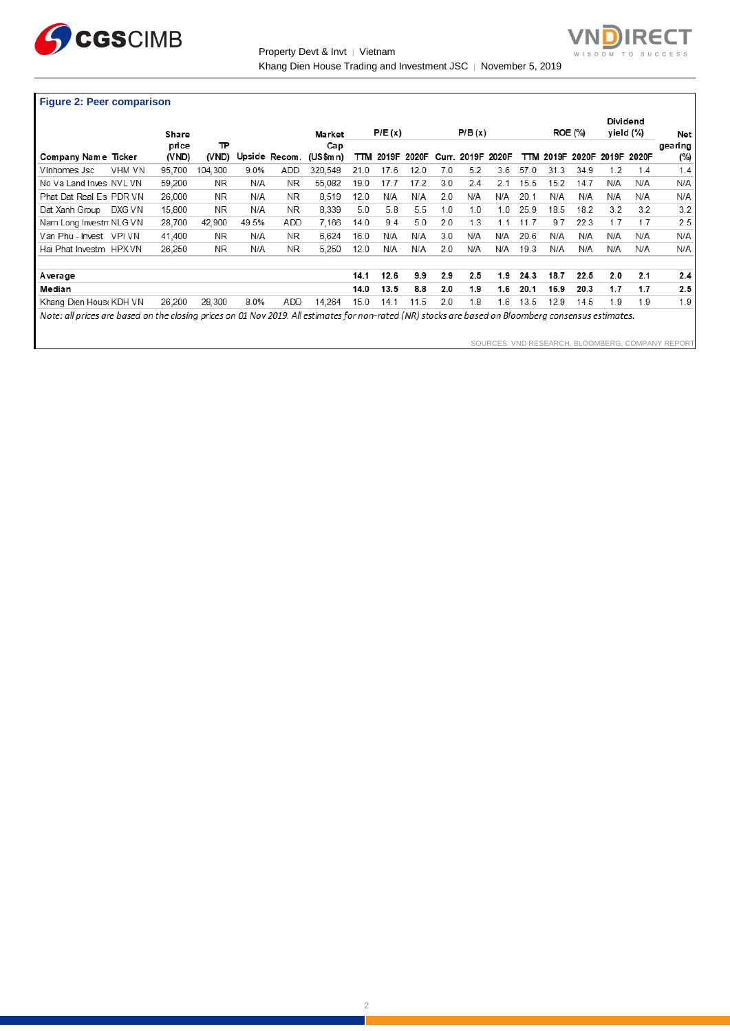

Property Devt & Invt | Vietnam Khang Dien House Trading and Investment JSC | November 5, 2019



## **Figure 2: Peer comparison**

|                                                                                                                                                      |        | Share          |            |       |               | Market          |      | P/E(x) |       |       | P/B(x)  |       |      |       | <b>ROE (%)</b> | Dividend<br>yield (%) |       | Net            |
|------------------------------------------------------------------------------------------------------------------------------------------------------|--------|----------------|------------|-------|---------------|-----------------|------|--------|-------|-------|---------|-------|------|-------|----------------|-----------------------|-------|----------------|
| Company Name Ticker                                                                                                                                  |        | price<br>(VND) | ℡<br>(VND) |       | Upside Recom. | Cap<br>(US\$mn) | πм   | 2019F  | 2020F | Curr. | 2019F   | 2020F | πм   | 2019F | 2020F          | 2019F                 | 2020F | gearing<br>(%) |
| Vinhomes Jsc                                                                                                                                         | VHM VN | 95.700         | 104.300    | 9.0%  | <b>ADD</b>    | 320.548         | 21.0 | 17.6   | 12.0  | 7.0   | 5.2     | 3.6   | 57.0 | 31.3  | 34.9           | 1.2                   | 1.4   | 1.4            |
| No Va Land Inves NVL VN                                                                                                                              |        | 59.200         | NR.        | N/A   | NR.           | 55,082          | 19.0 | 17.7   | 17.2  | 3.0   | 2.4     | 2.1   | 15.5 | 15.2  | 14.7           | N/A                   | N/A   | N/A            |
| Phat Dat Real Es PDR VN                                                                                                                              |        | 26,000         | NR.        | N/A   | NR.           | 8.519           | 12.0 | N/A    | N/A   | 2.0   | N/A     | N/A   | 20.1 | N/A   | N/A            | N/A                   | N/A   | N/A            |
| Dat Xanh Group                                                                                                                                       | DXG VN | 15.800         | <b>NR</b>  | N/A   | NR.           | 8.339           | 5.0  | 5.8    | 5.5   | 1.0   | 1.0     | 1.0   | 25.9 | 18.5  | 18.2           | 3.2                   | 3.2   | 3.2            |
| Nam Long Investn NLG VN                                                                                                                              |        | 28.700         | 42.900     | 49.5% | ADD           | 7.166           | 14.0 | 9.4    | 5.0   | 20    | .3<br>4 |       | 11.7 | 9.7   | 22.3           | 1.7                   | 1.7   | 2.5            |
| Van Phu - Invest VPI VN                                                                                                                              |        | 41,400         | NR.        | N/A   | NR.           | 6.624           | 16.0 | N/A    | N/A   | 3.0   | N/A     | N/A   | 20.6 | N/A   | N/A            | N/A                   | N/A   | N/A            |
| Hai Phat Investm HPX VN                                                                                                                              |        | 26.250         | NR.        | N/A   | NR.           | 5.250           | 12.0 | N/A    | N/A   | 2.0   | N/A     | N/A   | 19.3 | N/A   | N/A            | N/A                   | N/A   | N/A            |
| <b>A</b> verage                                                                                                                                      |        |                |            |       |               |                 | 14.1 | 12.6   | 9.9   | 2.9   | 2.5     | 1.9   | 24.3 | 18.7  | 22.5           | 2.0                   | 2.1   | 2.4            |
| Median                                                                                                                                               |        |                |            |       |               |                 | 14.0 | 13.5   | 8.8   | 2.0   | 1.9     | 1.6   | 20.1 | 16.9  | 20.3           | 1.7                   | 1.7   | 2.5            |
| Khang Dien House KDH VN                                                                                                                              |        | 26,200         | 28,300     | 8.0%  | ADD           | 14,264          | 15.0 | 14.1   | 11.5  | 2.0   | .8      | 1.6   | 13.5 | 12.9  | 14.5           | 1.9                   | 1.9   | 1.9            |
| Note: all prices are based on the closing prices on 01 Nov 2019. All estimates for non-rated (NR) stocks are based on Bloomberg consensus estimates. |        |                |            |       |               |                 |      |        |       |       |         |       |      |       |                |                       |       |                |

SOURCES: VND RESEARCH, BLOOMBERG, COMPANY REPORT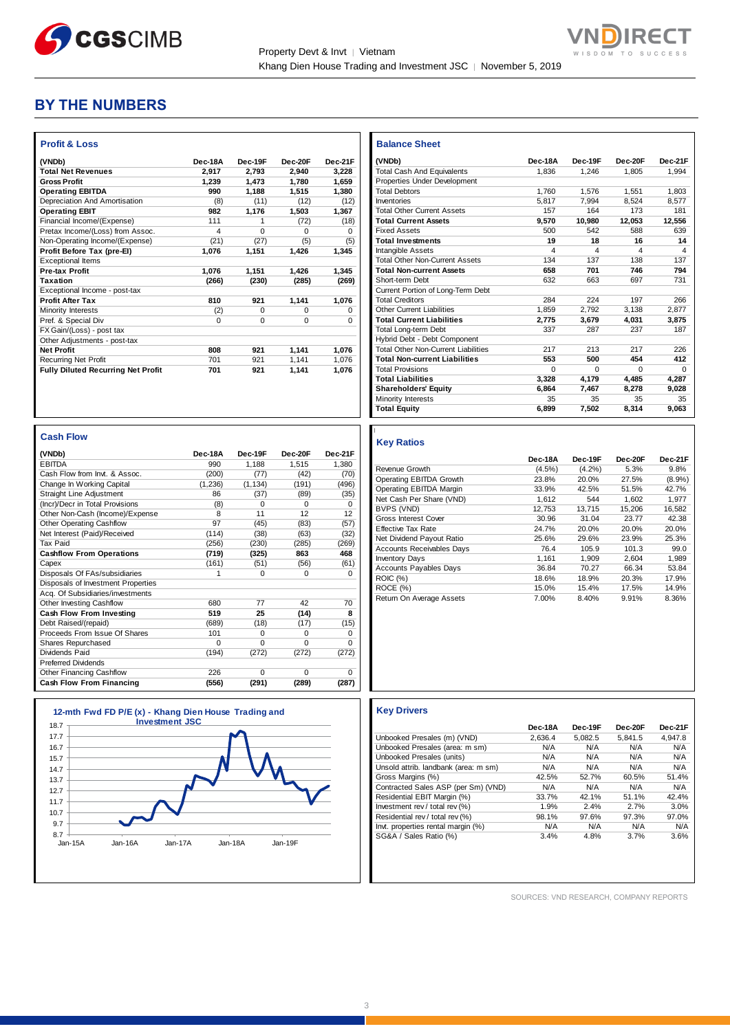

Г

## **BY THE NUMBERS**

| <b>Profit &amp; Loss</b>                  |          |          |              |              |
|-------------------------------------------|----------|----------|--------------|--------------|
| (VNDb)                                    | Dec-18A  | Dec-19F  | Dec-20F      | Dec-21F      |
| <b>Total Net Revenues</b>                 | 2.917    | 2.793    | 2.940        | 3.228        |
| <b>Gross Profit</b>                       | 1.239    | 1,473    | 1.780        | 1.659        |
| <b>Operating EBITDA</b>                   | 990      | 1.188    | 1.515        | 1.380        |
| Depreciation And Amortisation             | (8)      | (11)     | (12)         | (12)         |
| <b>Operating EBIT</b>                     | 982      | 1,176    | 1,503        | 1,367        |
| Financial Income/(Expense)                | 111      | 1        | (72)         | (18)         |
| Pretax Income/(Loss) from Assoc.          | 4        | $\Omega$ | <sup>0</sup> | <sup>0</sup> |
| Non-Operating Income/(Expense)            | (21)     | (27)     | (5)          | (5)          |
| Profit Before Tax (pre-El)                | 1.076    | 1,151    | 1,426        | 1,345        |
| <b>Exceptional Items</b>                  |          |          |              |              |
| <b>Pre-tax Profit</b>                     | 1.076    | 1,151    | 1.426        | 1,345        |
| <b>Taxation</b>                           | (266)    | (230)    | (285)        | (269)        |
| Exceptional Income - post-tax             |          |          |              |              |
| <b>Profit After Tax</b>                   | 810      | 921      | 1,141        | 1,076        |
| Minority Interests                        | (2)      | $\Omega$ | $\Omega$     | 0            |
| Pref. & Special Div                       | $\Omega$ | $\Omega$ | $\Omega$     | $\Omega$     |
| FX Gain/(Loss) - post tax                 |          |          |              |              |
| Other Adjustments - post-tax              |          |          |              |              |
| <b>Net Profit</b>                         | 808      | 921      | 1,141        | 1.076        |
| <b>Recurring Net Profit</b>               | 701      | 921      | 1.141        | 1.076        |
| <b>Fully Diluted Recurring Net Profit</b> | 701      | 921      | 1.141        | 1.076        |

| <b>Balance Sheet</b>                       |          |          |          |          |
|--------------------------------------------|----------|----------|----------|----------|
| (VNDb)                                     | Dec-18A  | Dec-19F  | Dec-20F  | Dec-21F  |
| <b>Total Cash And Equivalents</b>          | 1.836    | 1.246    | 1.805    | 1,994    |
| Properties Under Development               |          |          |          |          |
| <b>Total Debtors</b>                       | 1.760    | 1.576    | 1.551    | 1.803    |
| Inventories                                | 5.817    | 7.994    | 8,524    | 8,577    |
| <b>Total Other Current Assets</b>          | 157      | 164      | 173      | 181      |
| <b>Total Current Assets</b>                | 9,570    | 10,980   | 12,053   | 12,556   |
| <b>Fixed Assets</b>                        | 500      | 542      | 588      | 639      |
| <b>Total Investments</b>                   | 19       | 18       | 16       | 14       |
| Intangible Assets                          | 4        | 4        | 4        | 4        |
| <b>Total Other Non-Current Assets</b>      | 134      | 137      | 138      | 137      |
| <b>Total Non-current Assets</b>            | 658      | 701      | 746      | 794      |
| Short-term Debt                            | 632      | 663      | 697      | 731      |
| Current Portion of Long-Term Debt          |          |          |          |          |
| <b>Total Creditors</b>                     | 284      | 224      | 197      | 266      |
| Other Current Liabilities                  | 1.859    | 2.792    | 3.138    | 2.877    |
| <b>Total Current Liabilities</b>           | 2,775    | 3,679    | 4,031    | 3,875    |
| Total Long-term Debt                       | 337      | 287      | 237      | 187      |
| Hybrid Debt - Debt Component               |          |          |          |          |
| <b>Total Other Non-Current Liabilities</b> | 217      | 213      | 217      | 226      |
| <b>Total Non-current Liabilities</b>       | 553      | 500      | 454      | 412      |
| <b>Total Provisions</b>                    | $\Omega$ | $\Omega$ | $\Omega$ | $\Omega$ |
| <b>Total Liabilities</b>                   | 3,328    | 4,179    | 4,485    | 4,287    |
| <b>Shareholders' Equity</b>                | 6.864    | 7.467    | 8.278    | 9,028    |
| Minority Interests                         | 35       | 35       | 35       | 35       |
| <b>Total Equity</b>                        | 6,899    | 7,502    | 8,314    | 9,063    |

Т

T O

### **Cash Flow**

| (VNDb)                             | Dec-18A  | Dec-19F  | Dec-20F  | Dec-21F  |
|------------------------------------|----------|----------|----------|----------|
| <b>EBITDA</b>                      | 990      | 1,188    | 1,515    | 1,380    |
| Cash Flow from Invt. & Assoc.      | (200)    | (77)     | (42)     | (70)     |
| Change In Working Capital          | (1, 236) | (1, 134) | (191)    | (496)    |
| <b>Straight Line Adjustment</b>    | 86       | (37)     | (89)     | (35)     |
| (Incr)/Decr in Total Provisions    | (8)      | $\Omega$ | 0        | $\Omega$ |
| Other Non-Cash (Income)/Expense    | 8        | 11       | 12       | 12       |
| <b>Other Operating Cashflow</b>    | 97       | (45)     | (83)     | (57)     |
| Net Interest (Paid)/Received       | (114)    | (38)     | (63)     | (32)     |
| <b>Tax Paid</b>                    | (256)    | (230)    | (285)    | (269)    |
| <b>Cashflow From Operations</b>    | (719)    | (325)    | 863      | 468      |
| Capex                              | (161)    | (51)     | (56)     | (61)     |
| Disposals Of FAs/subsidiaries      | 1        | 0        | 0        | $\Omega$ |
| Disposals of Investment Properties |          |          |          |          |
| Acq. Of Subsidiaries/investments   |          |          |          |          |
| Other Investing Cashflow           | 680      | 77       | 42       | 70       |
| Cash Flow From Investing           | 519      | 25       | (14)     | 8        |
| Debt Raised/(repaid)               | (689)    | (18)     | (17)     | (15)     |
| Proceeds From Issue Of Shares      | 101      | 0        | 0        | 0        |
| <b>Shares Repurchased</b>          | $\Omega$ | $\Omega$ | $\Omega$ | $\Omega$ |
| Dividends Paid                     | (194)    | (272)    | (272)    | (272)    |
| <b>Preferred Dividends</b>         |          |          |          |          |
| Other Financing Cashflow           | 226      | $\Omega$ | $\Omega$ | $\Omega$ |
| Cash Flow From Financing           | (556)    | (291)    | (289)    | (287)    |



|                                  | Dec-18A   | Dec-19F   | Dec-20F | Dec-21F   |
|----------------------------------|-----------|-----------|---------|-----------|
| Revenue Growth                   | $(4.5\%)$ | $(4.2\%)$ | 5.3%    | 9.8%      |
| Operating EBITDA Growth          | 23.8%     | 20.0%     | 27.5%   | $(8.9\%)$ |
| Operating EBITDA Margin          | 33.9%     | 42.5%     | 51.5%   | 42.7%     |
| Net Cash Per Share (VND)         | 1.612     | 544       | 1.602   | 1,977     |
| BVPS (VND)                       | 12.753    | 13.715    | 15.206  | 16.582    |
| Gross Interest Cover             | 30.96     | 31.04     | 23.77   | 42.38     |
| Effective Tax Rate               | 24.7%     | 20.0%     | 20.0%   | 20.0%     |
| Net Dividend Payout Ratio        | 25.6%     | 29.6%     | 23.9%   | 25.3%     |
| <b>Accounts Receivables Days</b> | 76.4      | 105.9     | 101.3   | 99.0      |
| <b>Inventory Days</b>            | 1.161     | 1.909     | 2.604   | 1.989     |
| <b>Accounts Payables Days</b>    | 36.84     | 70.27     | 66.34   | 53.84     |
| <b>ROIC (%)</b>                  | 18.6%     | 18.9%     | 20.3%   | 17.9%     |
| ROCE (%)                         | 15.0%     | 15.4%     | 17.5%   | 14.9%     |
| Return On Average Assets         | 7.00%     | 8.40%     | 9.91%   | 8.36%     |

## **Key Drivers**

|

**Key Ratios**

3

|                                      | Dec-18A | Dec-19F | Dec-20F | Dec-21F |
|--------------------------------------|---------|---------|---------|---------|
| Unbooked Presales (m) (VND)          | 2.636.4 | 5.082.5 | 5.841.5 | 4.947.8 |
| Unbooked Presales (area: m sm)       | N/A     | N/A     | N/A     | N/A     |
| Unbooked Presales (units)            | N/A     | N/A     | N/A     | N/A     |
| Unsold attrib. landbank (area: m sm) | N/A     | N/A     | N/A     | N/A     |
| Gross Margins (%)                    | 42.5%   | 52.7%   | 60.5%   | 51.4%   |
| Contracted Sales ASP (per Sm) (VND)  | N/A     | N/A     | N/A     | N/A     |
| Residential EBIT Margin (%)          | 33.7%   | 42.1%   | 51.1%   | 42.4%   |
| Investment rev / total rev (%)       | 1.9%    | 2.4%    | 2.7%    | 3.0%    |
| Residential rev / total rev (%)      | 98.1%   | 97.6%   | 97.3%   | 97.0%   |
| Invt. properties rental margin (%)   | N/A     | N/A     | N/A     | N/A     |
| SG&A / Sales Ratio (%)               | 3.4%    | 4.8%    | 3.7%    | 3.6%    |

SOURCES: VND RESEARCH, COMPANY REPORTS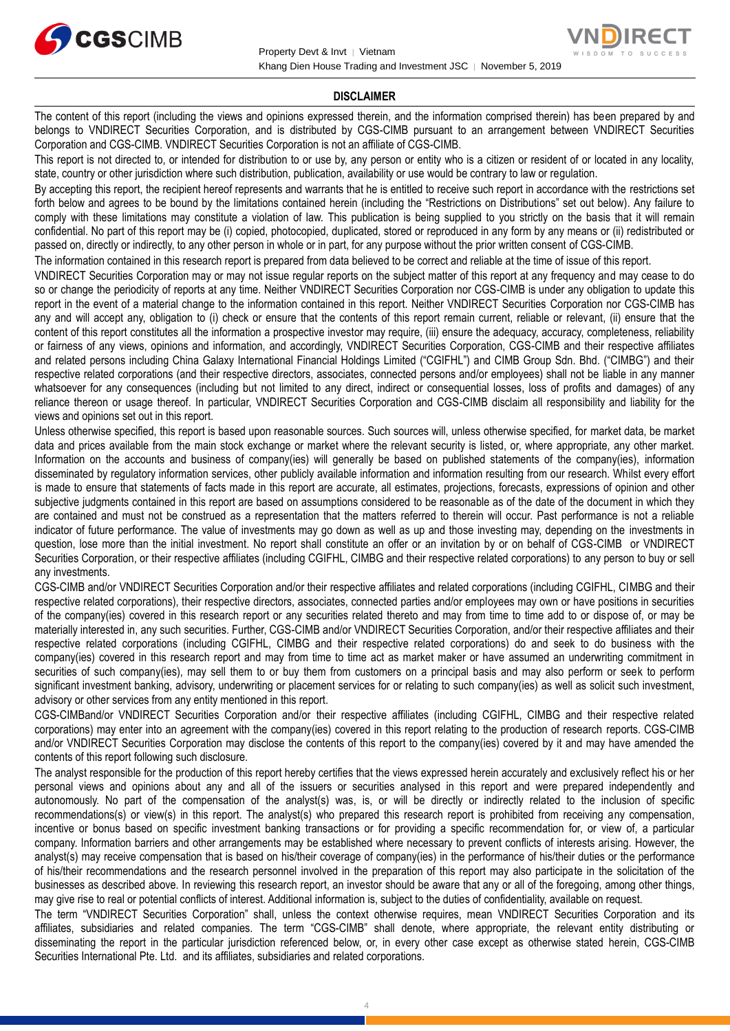

## **DISCLAIMER**

The content of this report (including the views and opinions expressed therein, and the information comprised therein) has been prepared by and belongs to VNDIRECT Securities Corporation, and is distributed by CGS-CIMB pursuant to an arrangement between VNDIRECT Securities Corporation and CGS-CIMB. VNDIRECT Securities Corporation is not an affiliate of CGS-CIMB.

This report is not directed to, or intended for distribution to or use by, any person or entity who is a citizen or resident of or located in any locality, state, country or other jurisdiction where such distribution, publication, availability or use would be contrary to law or regulation.

By accepting this report, the recipient hereof represents and warrants that he is entitled to receive such report in accordance with the restrictions set forth below and agrees to be bound by the limitations contained herein (including the "Restrictions on Distributions" set out below). Any failure to comply with these limitations may constitute a violation of law. This publication is being supplied to you strictly on the basis that it will remain confidential. No part of this report may be (i) copied, photocopied, duplicated, stored or reproduced in any form by any means or (ii) redistributed or passed on, directly or indirectly, to any other person in whole or in part, for any purpose without the prior written consent of CGS-CIMB.

The information contained in this research report is prepared from data believed to be correct and reliable at the time of issue of this report.

VNDIRECT Securities Corporation may or may not issue regular reports on the subject matter of this report at any frequency and may cease to do so or change the periodicity of reports at any time. Neither VNDIRECT Securities Corporation nor CGS-CIMB is under any obligation to update this report in the event of a material change to the information contained in this report. Neither VNDIRECT Securities Corporation nor CGS-CIMB has any and will accept any, obligation to (i) check or ensure that the contents of this report remain current, reliable or relevant, (ii) ensure that the content of this report constitutes all the information a prospective investor may require, (iii) ensure the adequacy, accuracy, completeness, reliability or fairness of any views, opinions and information, and accordingly, VNDIRECT Securities Corporation, CGS-CIMB and their respective affiliates and related persons including China Galaxy International Financial Holdings Limited ("CGIFHL") and CIMB Group Sdn. Bhd. ("CIMBG") and their respective related corporations (and their respective directors, associates, connected persons and/or employees) shall not be liable in any manner whatsoever for any consequences (including but not limited to any direct, indirect or consequential losses, loss of profits and damages) of any reliance thereon or usage thereof. In particular, VNDIRECT Securities Corporation and CGS-CIMB disclaim all responsibility and liability for the views and opinions set out in this report.

Unless otherwise specified, this report is based upon reasonable sources. Such sources will, unless otherwise specified, for market data, be market data and prices available from the main stock exchange or market where the relevant security is listed, or, where appropriate, any other market. Information on the accounts and business of company(ies) will generally be based on published statements of the company(ies), information disseminated by regulatory information services, other publicly available information and information resulting from our research. Whilst every effort is made to ensure that statements of facts made in this report are accurate, all estimates, projections, forecasts, expressions of opinion and other subjective judgments contained in this report are based on assumptions considered to be reasonable as of the date of the document in which they are contained and must not be construed as a representation that the matters referred to therein will occur. Past performance is not a reliable indicator of future performance. The value of investments may go down as well as up and those investing may, depending on the investments in question, lose more than the initial investment. No report shall constitute an offer or an invitation by or on behalf of CGS-CIMB or VNDIRECT Securities Corporation, or their respective affiliates (including CGIFHL, CIMBG and their respective related corporations) to any person to buy or sell any investments.

CGS-CIMB and/or VNDIRECT Securities Corporation and/or their respective affiliates and related corporations (including CGIFHL, CIMBG and their respective related corporations), their respective directors, associates, connected parties and/or employees may own or have positions in securities of the company(ies) covered in this research report or any securities related thereto and may from time to time add to or dispose of, or may be materially interested in, any such securities. Further, CGS-CIMB and/or VNDIRECT Securities Corporation, and/or their respective affiliates and their respective related corporations (including CGIFHL, CIMBG and their respective related corporations) do and seek to do business with the company(ies) covered in this research report and may from time to time act as market maker or have assumed an underwriting commitment in securities of such company(ies), may sell them to or buy them from customers on a principal basis and may also perform or seek to perform significant investment banking, advisory, underwriting or placement services for or relating to such company(ies) as well as solicit such investment, advisory or other services from any entity mentioned in this report.

CGS-CIMBand/or VNDIRECT Securities Corporation and/or their respective affiliates (including CGIFHL, CIMBG and their respective related corporations) may enter into an agreement with the company(ies) covered in this report relating to the production of research reports. CGS-CIMB and/or VNDIRECT Securities Corporation may disclose the contents of this report to the company(ies) covered by it and may have amended the contents of this report following such disclosure.

The analyst responsible for the production of this report hereby certifies that the views expressed herein accurately and exclusively reflect his or her personal views and opinions about any and all of the issuers or securities analysed in this report and were prepared independently and autonomously. No part of the compensation of the analyst(s) was, is, or will be directly or indirectly related to the inclusion of specific recommendations(s) or view(s) in this report. The analyst(s) who prepared this research report is prohibited from receiving any compensation, incentive or bonus based on specific investment banking transactions or for providing a specific recommendation for, or view of, a particular company. Information barriers and other arrangements may be established where necessary to prevent conflicts of interests arising. However, the analyst(s) may receive compensation that is based on his/their coverage of company(ies) in the performance of his/their duties or the performance of his/their recommendations and the research personnel involved in the preparation of this report may also participate in the solicitation of the businesses as described above. In reviewing this research report, an investor should be aware that any or all of the foregoing, among other things, may give rise to real or potential conflicts of interest. Additional information is, subject to the duties of confidentiality, available on request.

The term "VNDIRECT Securities Corporation" shall, unless the context otherwise requires, mean VNDIRECT Securities Corporation and its affiliates, subsidiaries and related companies. The term "CGS-CIMB" shall denote, where appropriate, the relevant entity distributing or disseminating the report in the particular jurisdiction referenced below, or, in every other case except as otherwise stated herein, CGS-CIMB Securities International Pte. Ltd. and its affiliates, subsidiaries and related corporations.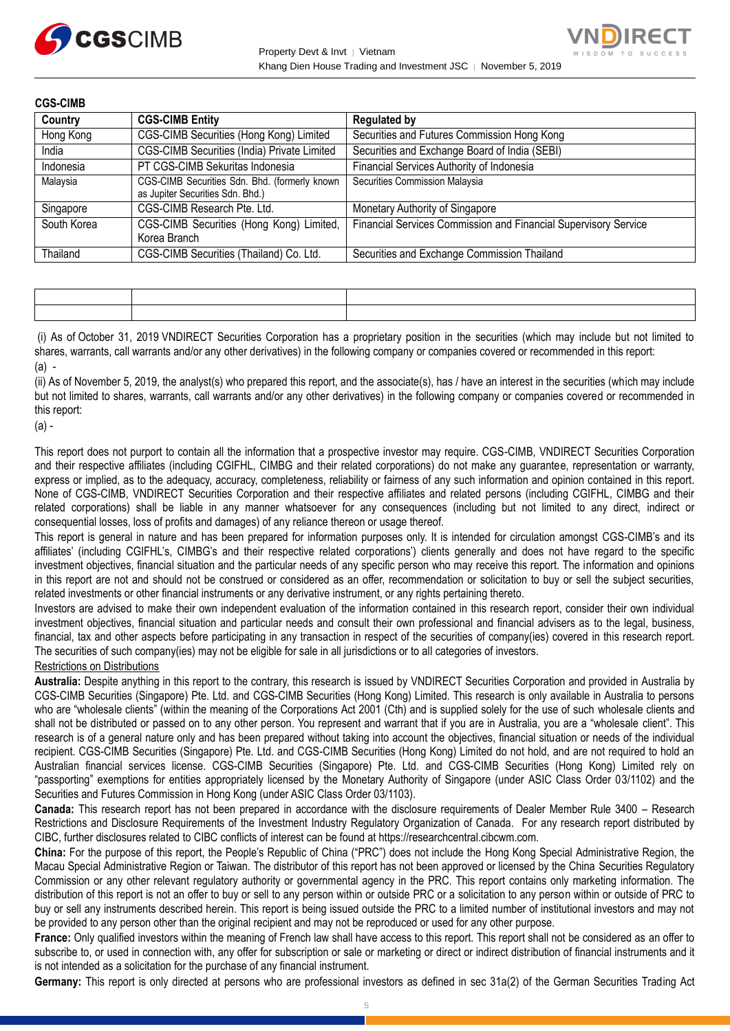



| <b>CGS-CIMB</b> |                                                                                   |                                                                 |
|-----------------|-----------------------------------------------------------------------------------|-----------------------------------------------------------------|
| Country         | <b>CGS-CIMB Entity</b>                                                            | <b>Regulated by</b>                                             |
| Hong Kong       | CGS-CIMB Securities (Hong Kong) Limited                                           | Securities and Futures Commission Hong Kong                     |
| India           | CGS-CIMB Securities (India) Private Limited                                       | Securities and Exchange Board of India (SEBI)                   |
| Indonesia       | PT CGS-CIMB Sekuritas Indonesia                                                   | Financial Services Authority of Indonesia                       |
| Malaysia        | CGS-CIMB Securities Sdn. Bhd. (formerly known<br>as Jupiter Securities Sdn. Bhd.) | Securities Commission Malaysia                                  |
| Singapore       | CGS-CIMB Research Pte. Ltd.                                                       | Monetary Authority of Singapore                                 |
| South Korea     | CGS-CIMB Securities (Hong Kong) Limited,<br>Korea Branch                          | Financial Services Commission and Financial Supervisory Service |
| Thailand        | CGS-CIMB Securities (Thailand) Co. Ltd.                                           | Securities and Exchange Commission Thailand                     |

|  | the contract of the contract of the contract of the contract of the contract of the contract of the contract of |
|--|-----------------------------------------------------------------------------------------------------------------|
|  |                                                                                                                 |

(i) As of October 31, 2019 VNDIRECT Securities Corporation has a proprietary position in the securities (which may include but not limited to shares, warrants, call warrants and/or any other derivatives) in the following company or companies covered or recommended in this report:  $(a)$  -

(ii) As of November 5, 2019, the analyst(s) who prepared this report, and the associate(s), has / have an interest in the securities (which may include but not limited to shares, warrants, call warrants and/or any other derivatives) in the following company or companies covered or recommended in this report:

(a) -

This report does not purport to contain all the information that a prospective investor may require. CGS-CIMB, VNDIRECT Securities Corporation and their respective affiliates (including CGIFHL, CIMBG and their related corporations) do not make any guarantee, representation or warranty, express or implied, as to the adequacy, accuracy, completeness, reliability or fairness of any such information and opinion contained in this report. None of CGS-CIMB, VNDIRECT Securities Corporation and their respective affiliates and related persons (including CGIFHL, CIMBG and their related corporations) shall be liable in any manner whatsoever for any consequences (including but not limited to any direct, indirect or consequential losses, loss of profits and damages) of any reliance thereon or usage thereof.

This report is general in nature and has been prepared for information purposes only. It is intended for circulation amongst CGS-CIMB's and its affiliates' (including CGIFHL's, CIMBG's and their respective related corporations') clients generally and does not have regard to the specific investment objectives, financial situation and the particular needs of any specific person who may receive this report. The information and opinions in this report are not and should not be construed or considered as an offer, recommendation or solicitation to buy or sell the subject securities, related investments or other financial instruments or any derivative instrument, or any rights pertaining thereto.

Investors are advised to make their own independent evaluation of the information contained in this research report, consider their own individual investment objectives, financial situation and particular needs and consult their own professional and financial advisers as to the legal, business, financial, tax and other aspects before participating in any transaction in respect of the securities of company(ies) covered in this research report. The securities of such company(ies) may not be eligible for sale in all jurisdictions or to all categories of investors.

## Restrictions on Distributions

**Australia:** Despite anything in this report to the contrary, this research is issued by VNDIRECT Securities Corporation and provided in Australia by CGS-CIMB Securities (Singapore) Pte. Ltd. and CGS-CIMB Securities (Hong Kong) Limited. This research is only available in Australia to persons who are "wholesale clients" (within the meaning of the Corporations Act 2001 (Cth) and is supplied solely for the use of such wholesale clients and shall not be distributed or passed on to any other person. You represent and warrant that if you are in Australia, you are a "wholesale client". This research is of a general nature only and has been prepared without taking into account the objectives, financial situation or needs of the individual recipient. CGS-CIMB Securities (Singapore) Pte. Ltd. and CGS-CIMB Securities (Hong Kong) Limited do not hold, and are not required to hold an Australian financial services license. CGS-CIMB Securities (Singapore) Pte. Ltd. and CGS-CIMB Securities (Hong Kong) Limited rely on "passporting" exemptions for entities appropriately licensed by the Monetary Authority of Singapore (under ASIC Class Order 03/1102) and the Securities and Futures Commission in Hong Kong (under ASIC Class Order 03/1103).

**Canada:** This research report has not been prepared in accordance with the disclosure requirements of Dealer Member Rule 3400 – Research Restrictions and Disclosure Requirements of the Investment Industry Regulatory Organization of Canada. For any research report distributed by CIBC, further disclosures related to CIBC conflicts of interest can be found at https://researchcentral.cibcwm.com.

**China:** For the purpose of this report, the People's Republic of China ("PRC") does not include the Hong Kong Special Administrative Region, the Macau Special Administrative Region or Taiwan. The distributor of this report has not been approved or licensed by the China Securities Regulatory Commission or any other relevant regulatory authority or governmental agency in the PRC. This report contains only marketing information. The distribution of this report is not an offer to buy or sell to any person within or outside PRC or a solicitation to any person within or outside of PRC to buy or sell any instruments described herein. This report is being issued outside the PRC to a limited number of institutional investors and may not be provided to any person other than the original recipient and may not be reproduced or used for any other purpose.

**France:** Only qualified investors within the meaning of French law shall have access to this report. This report shall not be considered as an offer to subscribe to, or used in connection with, any offer for subscription or sale or marketing or direct or indirect distribution of financial instruments and it is not intended as a solicitation for the purchase of any financial instrument.

**Germany:** This report is only directed at persons who are professional investors as defined in sec 31a(2) of the German Securities Trading Act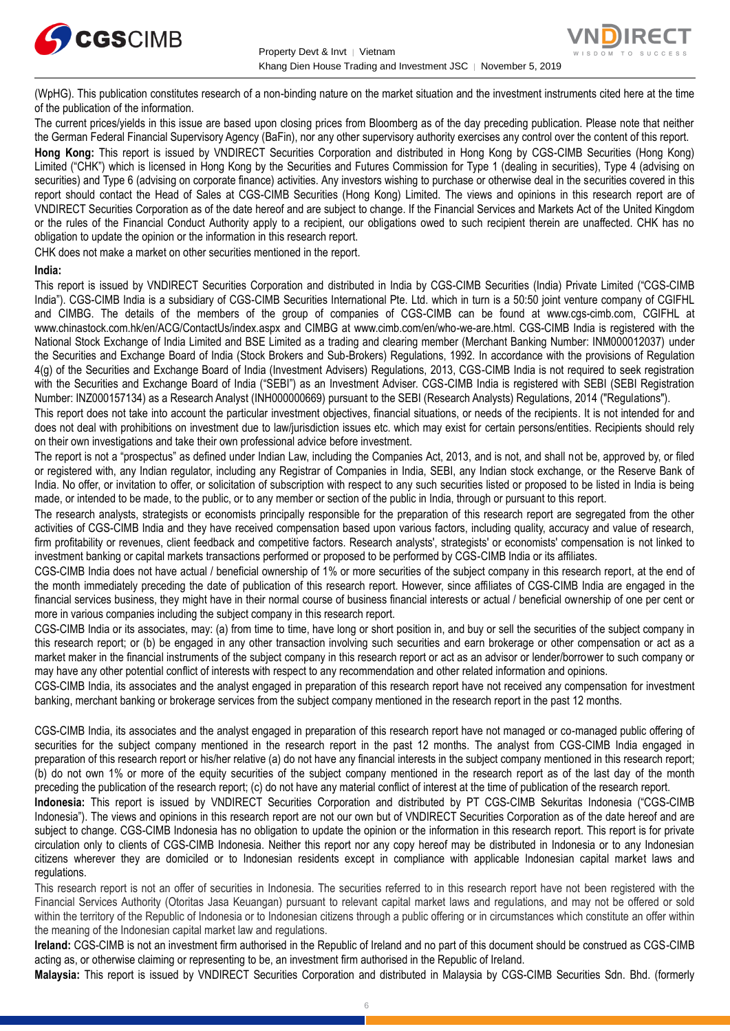



(WpHG). This publication constitutes research of a non-binding nature on the market situation and the investment instruments cited here at the time of the publication of the information.

The current prices/yields in this issue are based upon closing prices from Bloomberg as of the day preceding publication. Please note that neither the German Federal Financial Supervisory Agency (BaFin), nor any other supervisory authority exercises any control over the content of this report.

**Hong Kong:** This report is issued by VNDIRECT Securities Corporation and distributed in Hong Kong by CGS-CIMB Securities (Hong Kong) Limited ("CHK") which is licensed in Hong Kong by the Securities and Futures Commission for Type 1 (dealing in securities), Type 4 (advising on securities) and Type 6 (advising on corporate finance) activities. Any investors wishing to purchase or otherwise deal in the securities covered in this report should contact the Head of Sales at CGS-CIMB Securities (Hong Kong) Limited. The views and opinions in this research report are of VNDIRECT Securities Corporation as of the date hereof and are subject to change. If the Financial Services and Markets Act of the United Kingdom or the rules of the Financial Conduct Authority apply to a recipient, our obligations owed to such recipient therein are unaffected. CHK has no obligation to update the opinion or the information in this research report.

CHK does not make a market on other securities mentioned in the report.

## **India:**

This report is issued by VNDIRECT Securities Corporation and distributed in India by CGS-CIMB Securities (India) Private Limited ("CGS-CIMB India"). CGS-CIMB India is a subsidiary of CGS-CIMB Securities International Pte. Ltd. which in turn is a 50:50 joint venture company of CGIFHL and CIMBG. The details of the members of the group of companies of CGS-CIMB can be found at www.cgs-cimb.com, CGIFHL at www.chinastock.com.hk/en/ACG/ContactUs/index.aspx and CIMBG at www.cimb.com/en/who-we-are.html. CGS-CIMB India is registered with the National Stock Exchange of India Limited and BSE Limited as a trading and clearing member (Merchant Banking Number: INM000012037) under the Securities and Exchange Board of India (Stock Brokers and Sub-Brokers) Regulations, 1992. In accordance with the provisions of Regulation 4(g) of the Securities and Exchange Board of India (Investment Advisers) Regulations, 2013, CGS-CIMB India is not required to seek registration with the Securities and Exchange Board of India ("SEBI") as an Investment Adviser. CGS-CIMB India is registered with SEBI (SEBI Registration Number: INZ000157134) as a Research Analyst (INH000000669) pursuant to the SEBI (Research Analysts) Regulations, 2014 ("Regulations").

This report does not take into account the particular investment objectives, financial situations, or needs of the recipients. It is not intended for and does not deal with prohibitions on investment due to law/jurisdiction issues etc. which may exist for certain persons/entities. Recipients should rely on their own investigations and take their own professional advice before investment.

The report is not a "prospectus" as defined under Indian Law, including the Companies Act, 2013, and is not, and shall not be, approved by, or filed or registered with, any Indian regulator, including any Registrar of Companies in India, SEBI, any Indian stock exchange, or the Reserve Bank of India. No offer, or invitation to offer, or solicitation of subscription with respect to any such securities listed or proposed to be listed in India is being made, or intended to be made, to the public, or to any member or section of the public in India, through or pursuant to this report.

The research analysts, strategists or economists principally responsible for the preparation of this research report are segregated from the other activities of CGS-CIMB India and they have received compensation based upon various factors, including quality, accuracy and value of research, firm profitability or revenues, client feedback and competitive factors. Research analysts', strategists' or economists' compensation is not linked to investment banking or capital markets transactions performed or proposed to be performed by CGS-CIMB India or its affiliates.

CGS-CIMB India does not have actual / beneficial ownership of 1% or more securities of the subject company in this research report, at the end of the month immediately preceding the date of publication of this research report. However, since affiliates of CGS-CIMB India are engaged in the financial services business, they might have in their normal course of business financial interests or actual / beneficial ownership of one per cent or more in various companies including the subject company in this research report.

CGS-CIMB India or its associates, may: (a) from time to time, have long or short position in, and buy or sell the securities of the subject company in this research report; or (b) be engaged in any other transaction involving such securities and earn brokerage or other compensation or act as a market maker in the financial instruments of the subject company in this research report or act as an advisor or lender/borrower to such company or may have any other potential conflict of interests with respect to any recommendation and other related information and opinions.

CGS-CIMB India, its associates and the analyst engaged in preparation of this research report have not received any compensation for investment banking, merchant banking or brokerage services from the subject company mentioned in the research report in the past 12 months.

CGS-CIMB India, its associates and the analyst engaged in preparation of this research report have not managed or co-managed public offering of securities for the subject company mentioned in the research report in the past 12 months. The analyst from CGS-CIMB India engaged in preparation of this research report or his/her relative (a) do not have any financial interests in the subject company mentioned in this research report; (b) do not own 1% or more of the equity securities of the subject company mentioned in the research report as of the last day of the month preceding the publication of the research report; (c) do not have any material conflict of interest at the time of publication of the research report.

**Indonesia:** This report is issued by VNDIRECT Securities Corporation and distributed by PT CGS-CIMB Sekuritas Indonesia ("CGS-CIMB Indonesia"). The views and opinions in this research report are not our own but of VNDIRECT Securities Corporation as of the date hereof and are subject to change. CGS-CIMB Indonesia has no obligation to update the opinion or the information in this research report. This report is for private circulation only to clients of CGS-CIMB Indonesia. Neither this report nor any copy hereof may be distributed in Indonesia or to any Indonesian citizens wherever they are domiciled or to Indonesian residents except in compliance with applicable Indonesian capital market laws and regulations.

This research report is not an offer of securities in Indonesia. The securities referred to in this research report have not been registered with the Financial Services Authority (Otoritas Jasa Keuangan) pursuant to relevant capital market laws and regulations, and may not be offered or sold within the territory of the Republic of Indonesia or to Indonesian citizens through a public offering or in circumstances which constitute an offer within the meaning of the Indonesian capital market law and regulations.

**Ireland:** CGS-CIMB is not an investment firm authorised in the Republic of Ireland and no part of this document should be construed as CGS-CIMB acting as, or otherwise claiming or representing to be, an investment firm authorised in the Republic of Ireland.

**Malaysia:** This report is issued by VNDIRECT Securities Corporation and distributed in Malaysia by CGS-CIMB Securities Sdn. Bhd. (formerly

6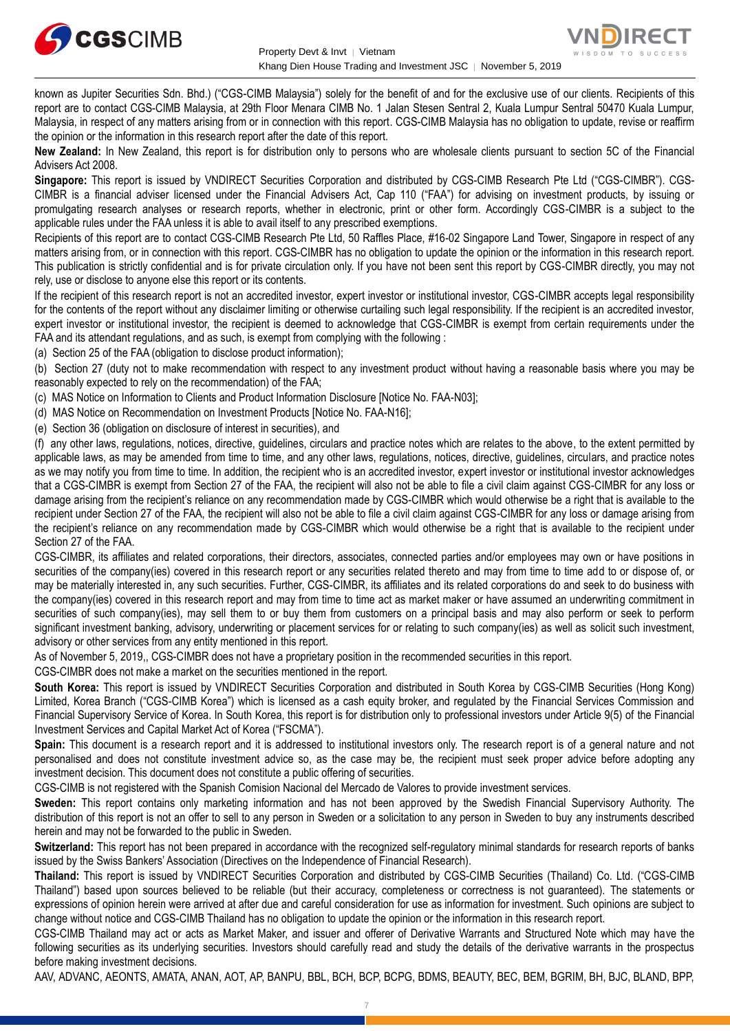



known as Jupiter Securities Sdn. Bhd.) ("CGS-CIMB Malaysia") solely for the benefit of and for the exclusive use of our clients. Recipients of this report are to contact CGS-CIMB Malaysia, at 29th Floor Menara CIMB No. 1 Jalan Stesen Sentral 2, Kuala Lumpur Sentral 50470 Kuala Lumpur, Malaysia, in respect of any matters arising from or in connection with this report. CGS-CIMB Malaysia has no obligation to update, revise or reaffirm the opinion or the information in this research report after the date of this report.

**New Zealand:** In New Zealand, this report is for distribution only to persons who are wholesale clients pursuant to section 5C of the Financial Advisers Act 2008.

**Singapore:** This report is issued by VNDIRECT Securities Corporation and distributed by CGS-CIMB Research Pte Ltd ("CGS-CIMBR"). CGS-CIMBR is a financial adviser licensed under the Financial Advisers Act, Cap 110 ("FAA") for advising on investment products, by issuing or promulgating research analyses or research reports, whether in electronic, print or other form. Accordingly CGS-CIMBR is a subject to the applicable rules under the FAA unless it is able to avail itself to any prescribed exemptions.

Recipients of this report are to contact CGS-CIMB Research Pte Ltd, 50 Raffles Place, #16-02 Singapore Land Tower, Singapore in respect of any matters arising from, or in connection with this report. CGS-CIMBR has no obligation to update the opinion or the information in this research report. This publication is strictly confidential and is for private circulation only. If you have not been sent this report by CGS-CIMBR directly, you may not rely, use or disclose to anyone else this report or its contents.

If the recipient of this research report is not an accredited investor, expert investor or institutional investor, CGS-CIMBR accepts legal responsibility for the contents of the report without any disclaimer limiting or otherwise curtailing such legal responsibility. If the recipient is an accredited investor, expert investor or institutional investor, the recipient is deemed to acknowledge that CGS-CIMBR is exempt from certain requirements under the FAA and its attendant regulations, and as such, is exempt from complying with the following :

(a) Section 25 of the FAA (obligation to disclose product information);

(b) Section 27 (duty not to make recommendation with respect to any investment product without having a reasonable basis where you may be reasonably expected to rely on the recommendation) of the FAA;

(c) MAS Notice on Information to Clients and Product Information Disclosure [Notice No. FAA-N03];

(d) MAS Notice on Recommendation on Investment Products [Notice No. FAA-N16];

(e) Section 36 (obligation on disclosure of interest in securities), and

(f) any other laws, regulations, notices, directive, guidelines, circulars and practice notes which are relates to the above, to the extent permitted by applicable laws, as may be amended from time to time, and any other laws, regulations, notices, directive, guidelines, circulars, and practice notes as we may notify you from time to time. In addition, the recipient who is an accredited investor, expert investor or institutional investor acknowledges that a CGS-CIMBR is exempt from Section 27 of the FAA, the recipient will also not be able to file a civil claim against CGS-CIMBR for any loss or damage arising from the recipient's reliance on any recommendation made by CGS-CIMBR which would otherwise be a right that is available to the recipient under Section 27 of the FAA, the recipient will also not be able to file a civil claim against CGS-CIMBR for any loss or damage arising from the recipient's reliance on any recommendation made by CGS-CIMBR which would otherwise be a right that is available to the recipient under Section 27 of the FAA.

CGS-CIMBR, its affiliates and related corporations, their directors, associates, connected parties and/or employees may own or have positions in securities of the company(ies) covered in this research report or any securities related thereto and may from time to time add to or dispose of, or may be materially interested in, any such securities. Further, CGS-CIMBR, its affiliates and its related corporations do and seek to do business with the company(ies) covered in this research report and may from time to time act as market maker or have assumed an underwriting commitment in securities of such company(ies), may sell them to or buy them from customers on a principal basis and may also perform or seek to perform significant investment banking, advisory, underwriting or placement services for or relating to such company(ies) as well as solicit such investment, advisory or other services from any entity mentioned in this report.

As of November 5, 2019,, CGS-CIMBR does not have a proprietary position in the recommended securities in this report.

CGS-CIMBR does not make a market on the securities mentioned in the report.

**South Korea:** This report is issued by VNDIRECT Securities Corporation and distributed in South Korea by CGS-CIMB Securities (Hong Kong) Limited, Korea Branch ("CGS-CIMB Korea") which is licensed as a cash equity broker, and regulated by the Financial Services Commission and Financial Supervisory Service of Korea. In South Korea, this report is for distribution only to professional investors under Article 9(5) of the Financial Investment Services and Capital Market Act of Korea ("FSCMA").

**Spain:** This document is a research report and it is addressed to institutional investors only. The research report is of a general nature and not personalised and does not constitute investment advice so, as the case may be, the recipient must seek proper advice before adopting any investment decision. This document does not constitute a public offering of securities.

CGS-CIMB is not registered with the Spanish Comision Nacional del Mercado de Valores to provide investment services.

**Sweden:** This report contains only marketing information and has not been approved by the Swedish Financial Supervisory Authority. The distribution of this report is not an offer to sell to any person in Sweden or a solicitation to any person in Sweden to buy any instruments described herein and may not be forwarded to the public in Sweden.

**Switzerland:** This report has not been prepared in accordance with the recognized self-regulatory minimal standards for research reports of banks issued by the Swiss Bankers' Association (Directives on the Independence of Financial Research).

**Thailand:** This report is issued by VNDIRECT Securities Corporation and distributed by CGS-CIMB Securities (Thailand) Co. Ltd. ("CGS-CIMB Thailand") based upon sources believed to be reliable (but their accuracy, completeness or correctness is not guaranteed). The statements or expressions of opinion herein were arrived at after due and careful consideration for use as information for investment. Such opinions are subject to change without notice and CGS-CIMB Thailand has no obligation to update the opinion or the information in this research report.

CGS-CIMB Thailand may act or acts as Market Maker, and issuer and offerer of Derivative Warrants and Structured Note which may have the following securities as its underlying securities. Investors should carefully read and study the details of the derivative warrants in the prospectus before making investment decisions.

AAV, ADVANC, AEONTS, AMATA, ANAN, AOT, AP, BANPU, BBL, BCH, BCP, BCPG, BDMS, BEAUTY, BEC, BEM, BGRIM, BH, BJC, BLAND, BPP,

7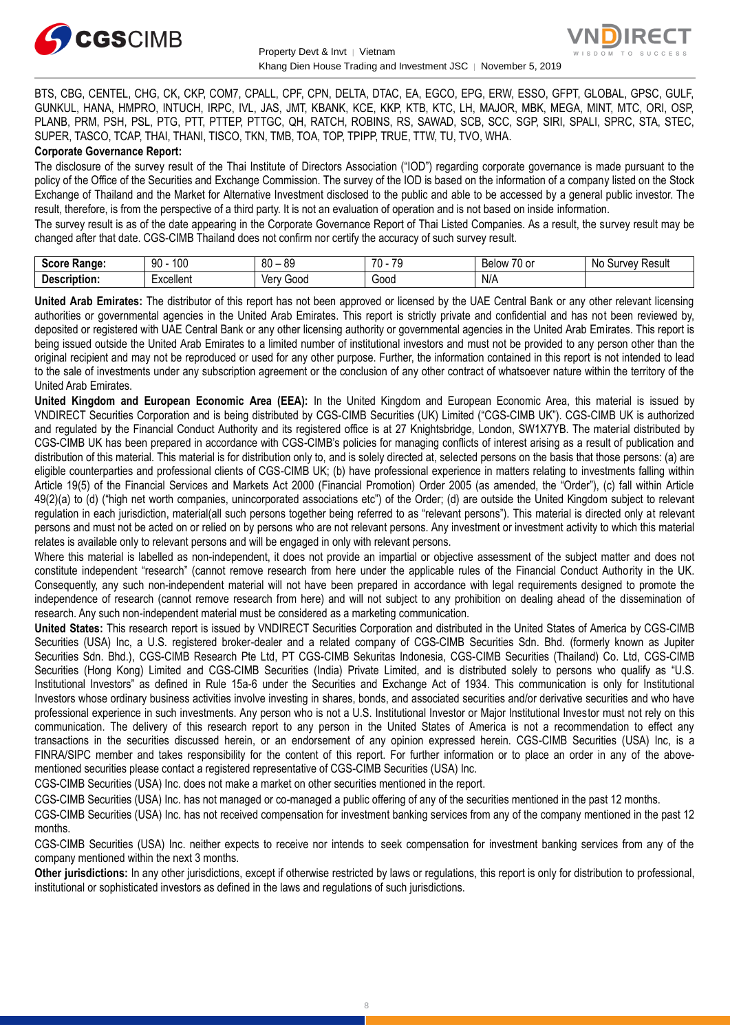



BTS, CBG, CENTEL, CHG, CK, CKP, COM7, CPALL, CPF, CPN, DELTA, DTAC, EA, EGCO, EPG, ERW, ESSO, GFPT, GLOBAL, GPSC, GULF, GUNKUL, HANA, HMPRO, INTUCH, IRPC, IVL, JAS, JMT, KBANK, KCE, KKP, KTB, KTC, LH, MAJOR, MBK, MEGA, MINT, MTC, ORI, OSP, PLANB, PRM, PSH, PSL, PTG, PTT, PTTEP, PTTGC, QH, RATCH, ROBINS, RS, SAWAD, SCB, SCC, SGP, SIRI, SPALI, SPRC, STA, STEC, SUPER, TASCO, TCAP, THAI, THANI, TISCO, TKN, TMB, TOA, TOP, TPIPP, TRUE, TTW, TU, TVO, WHA.

## **Corporate Governance Report:**

The disclosure of the survey result of the Thai Institute of Directors Association ("IOD") regarding corporate governance is made pursuant to the policy of the Office of the Securities and Exchange Commission. The survey of the IOD is based on the information of a company listed on the Stock Exchange of Thailand and the Market for Alternative Investment disclosed to the public and able to be accessed by a general public investor. The result, therefore, is from the perspective of a third party. It is not an evaluation of operation and is not based on inside information.

The survey result is as of the date appearing in the Corporate Governance Report of Thai Listed Companies. As a result, the survey result may be changed after that date. CGS-CIMB Thailand does not confirm nor certify the accuracy of such survey result.

| <b>Score</b><br>Range: | 100<br>90     | -RC<br>ЯC<br>υu<br>vũ | $\overline{\phantom{a}}$<br>$\overline{\phantom{a}}$<br>., | $\overline{\phantom{a}}$<br>Below<br>′∪ or | N0<br>Result<br>∵ urvevس |
|------------------------|---------------|-----------------------|------------------------------------------------------------|--------------------------------------------|--------------------------|
| Description:           | <br>:xcellent | Gooc<br>∨erv          | $\sim$<br>oou                                              | N/A                                        |                          |

**United Arab Emirates:** The distributor of this report has not been approved or licensed by the UAE Central Bank or any other relevant licensing authorities or governmental agencies in the United Arab Emirates. This report is strictly private and confidential and has not been reviewed by, deposited or registered with UAE Central Bank or any other licensing authority or governmental agencies in the United Arab Emirates. This report is being issued outside the United Arab Emirates to a limited number of institutional investors and must not be provided to any person other than the original recipient and may not be reproduced or used for any other purpose. Further, the information contained in this report is not intended to lead to the sale of investments under any subscription agreement or the conclusion of any other contract of whatsoever nature within the territory of the United Arab Emirates.

**United Kingdom and European Economic Area (EEA):** In the United Kingdom and European Economic Area, this material is issued by VNDIRECT Securities Corporation and is being distributed by CGS-CIMB Securities (UK) Limited ("CGS-CIMB UK"). CGS-CIMB UK is authorized and regulated by the Financial Conduct Authority and its registered office is at 27 Knightsbridge, London, SW1X7YB. The material distributed by CGS-CIMB UK has been prepared in accordance with CGS-CIMB's policies for managing conflicts of interest arising as a result of publication and distribution of this material. This material is for distribution only to, and is solely directed at, selected persons on the basis that those persons: (a) are eligible counterparties and professional clients of CGS-CIMB UK; (b) have professional experience in matters relating to investments falling within Article 19(5) of the Financial Services and Markets Act 2000 (Financial Promotion) Order 2005 (as amended, the "Order"), (c) fall within Article 49(2)(a) to (d) ("high net worth companies, unincorporated associations etc") of the Order; (d) are outside the United Kingdom subject to relevant regulation in each jurisdiction, material(all such persons together being referred to as "relevant persons"). This material is directed only at relevant persons and must not be acted on or relied on by persons who are not relevant persons. Any investment or investment activity to which this material relates is available only to relevant persons and will be engaged in only with relevant persons.

Where this material is labelled as non-independent, it does not provide an impartial or objective assessment of the subject matter and does not constitute independent "research" (cannot remove research from here under the applicable rules of the Financial Conduct Authority in the UK. Consequently, any such non-independent material will not have been prepared in accordance with legal requirements designed to promote the independence of research (cannot remove research from here) and will not subject to any prohibition on dealing ahead of the dissemination of research. Any such non-independent material must be considered as a marketing communication.

**United States:** This research report is issued by VNDIRECT Securities Corporation and distributed in the United States of America by CGS-CIMB Securities (USA) Inc, a U.S. registered broker-dealer and a related company of CGS-CIMB Securities Sdn. Bhd. (formerly known as Jupiter Securities Sdn. Bhd.), CGS-CIMB Research Pte Ltd, PT CGS-CIMB Sekuritas Indonesia, CGS-CIMB Securities (Thailand) Co. Ltd, CGS-CIMB Securities (Hong Kong) Limited and CGS-CIMB Securities (India) Private Limited, and is distributed solely to persons who qualify as "U.S. Institutional Investors" as defined in Rule 15a-6 under the Securities and Exchange Act of 1934. This communication is only for Institutional Investors whose ordinary business activities involve investing in shares, bonds, and associated securities and/or derivative securities and who have professional experience in such investments. Any person who is not a U.S. Institutional Investor or Major Institutional Investor must not rely on this communication. The delivery of this research report to any person in the United States of America is not a recommendation to effect any transactions in the securities discussed herein, or an endorsement of any opinion expressed herein. CGS-CIMB Securities (USA) Inc, is a FINRA/SIPC member and takes responsibility for the content of this report. For further information or to place an order in any of the abovementioned securities please contact a registered representative of CGS-CIMB Securities (USA) Inc.

CGS-CIMB Securities (USA) Inc. does not make a market on other securities mentioned in the report.

CGS-CIMB Securities (USA) Inc. has not managed or co-managed a public offering of any of the securities mentioned in the past 12 months.

CGS-CIMB Securities (USA) Inc. has not received compensation for investment banking services from any of the company mentioned in the past 12 months.

CGS-CIMB Securities (USA) Inc. neither expects to receive nor intends to seek compensation for investment banking services from any of the company mentioned within the next 3 months.

**Other jurisdictions:** In any other jurisdictions, except if otherwise restricted by laws or regulations, this report is only for distribution to professional, institutional or sophisticated investors as defined in the laws and regulations of such jurisdictions.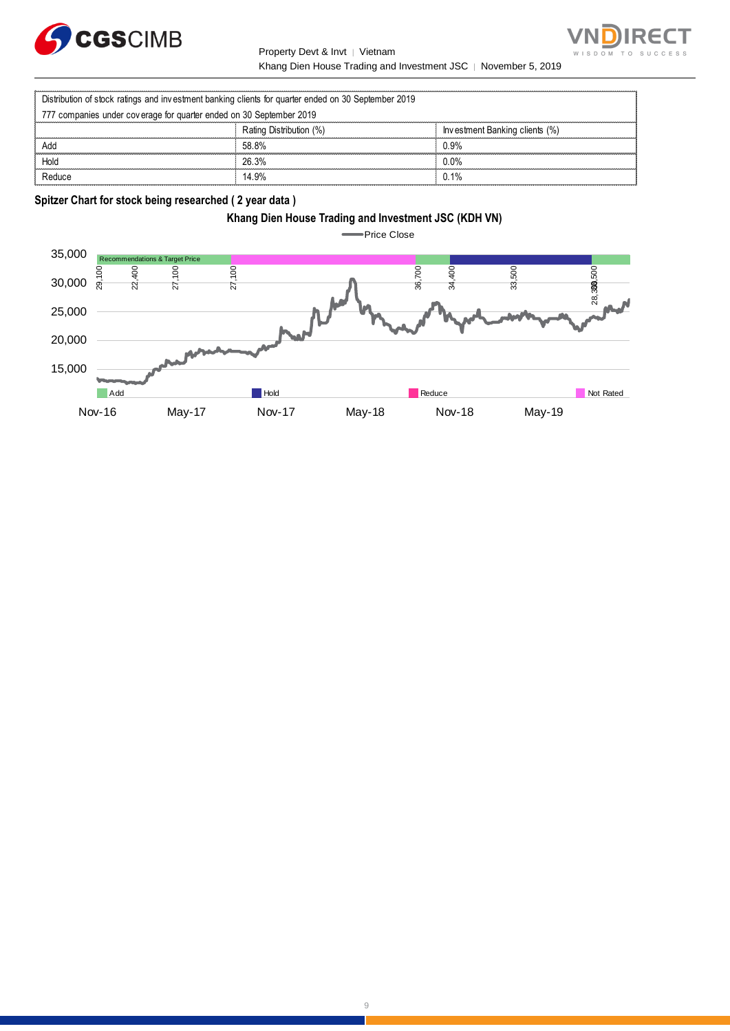



Property Devt & Invt │ Vietnam Khang Dien House Trading and Investment JSC | November 5, 2019

|                                                                     | Property Devt & Invt   Vietnam                                                                      |                                                                |
|---------------------------------------------------------------------|-----------------------------------------------------------------------------------------------------|----------------------------------------------------------------|
|                                                                     |                                                                                                     | Khang Dien House Trading and Investment JSC   November 5, 2019 |
|                                                                     | Distribution of stock ratings and investment banking clients for quarter ended on 30 September 2019 |                                                                |
| 777 companies under coverage for quarter ended on 30 September 2019 |                                                                                                     |                                                                |
|                                                                     | Rating Distribution (%)                                                                             | Investment Banking clients (%)                                 |
| Add                                                                 | 58.8%                                                                                               | 0.9%                                                           |
| Hold                                                                | 26.3%                                                                                               | $0.0\%$                                                        |
| Reduce                                                              | 14.9%                                                                                               | $0.1\%$                                                        |

**Spitzer Chart for stock being researched ( 2 year data )** 



**Price Close** 

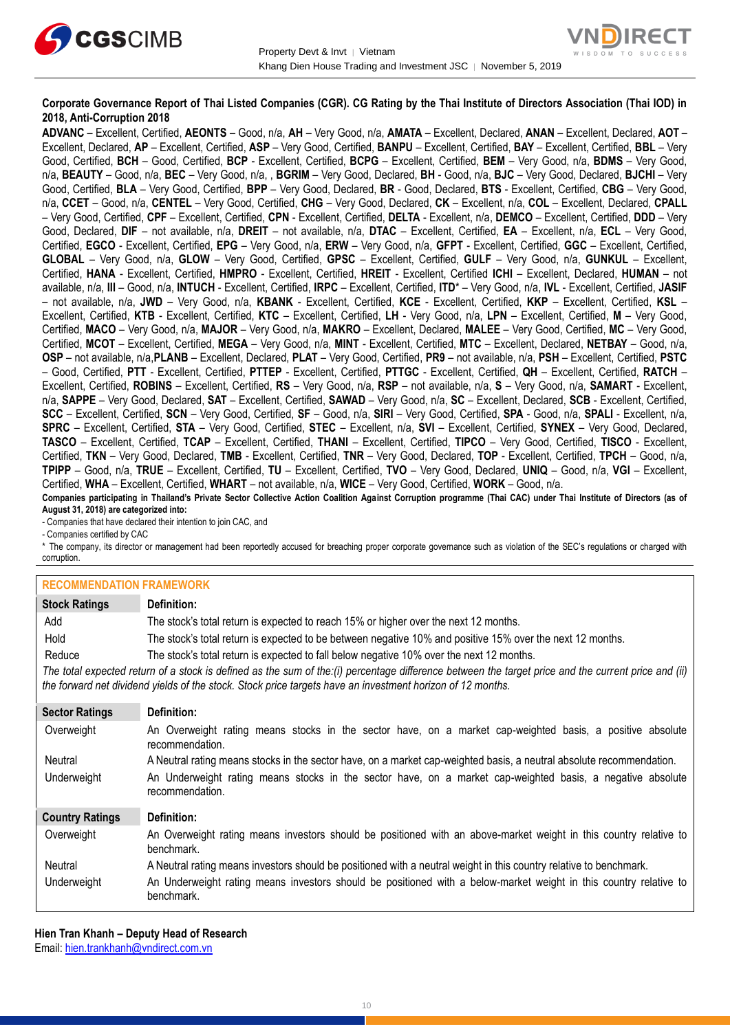



## **Corporate Governance Report of Thai Listed Companies (CGR). CG Rating by the Thai Institute of Directors Association (Thai IOD) in 2018, Anti-Corruption 2018**

**ADVANC** – Excellent, Certified, **AEONTS** – Good, n/a, **AH** – Very Good, n/a, **AMATA** – Excellent, Declared, **ANAN** – Excellent, Declared, **AOT** – Excellent, Declared, **AP** – Excellent, Certified, **ASP** – Very Good, Certified, **BANPU** – Excellent, Certified, **BAY** – Excellent, Certified, **BBL** – Very Good, Certified, **BCH** – Good, Certified, **BCP** - Excellent, Certified, **BCPG** – Excellent, Certified, **BEM** – Very Good, n/a, **BDMS** – Very Good, n/a, **BEAUTY** – Good, n/a, **BEC** – Very Good, n/a, , **BGRIM** – Very Good, Declared, **BH** - Good, n/a, **BJC** – Very Good, Declared, **BJCHI** – Very Good, Certified, **BLA** – Very Good, Certified, **BPP** – Very Good, Declared, **BR** - Good, Declared, **BTS** - Excellent, Certified, **CBG** – Very Good, n/a, **CCET** – Good, n/a, **CENTEL** – Very Good, Certified, **CHG** – Very Good, Declared, **CK** – Excellent, n/a, **COL** – Excellent, Declared, **CPALL** – Very Good, Certified, **CPF** – Excellent, Certified, **CPN** - Excellent, Certified, **DELTA** - Excellent, n/a, **DEMCO** – Excellent, Certified, **DDD** – Very Good, Declared, **DIF** – not available, n/a, **DREIT** – not available, n/a, **DTAC** – Excellent, Certified, **EA** – Excellent, n/a, **ECL** – Very Good, Certified, **EGCO** - Excellent, Certified, **EPG** – Very Good, n/a, **ERW** – Very Good, n/a, **GFPT** - Excellent, Certified, **GGC** – Excellent, Certified, **GLOBAL** – Very Good, n/a, **GLOW** – Very Good, Certified, **GPSC** – Excellent, Certified, **GULF** – Very Good, n/a, **GUNKUL** – Excellent, Certified, **HANA** - Excellent, Certified, **HMPRO** - Excellent, Certified, **HREIT** - Excellent, Certified **ICHI** – Excellent, Declared, **HUMAN** – not available, n/a, **III** – Good, n/a, **INTUCH** - Excellent, Certified, **IRPC** – Excellent, Certified, **ITD**\* – Very Good, n/a, **IVL** - Excellent, Certified, **JASIF** – not available, n/a, **JWD** – Very Good, n/a, **KBANK** - Excellent, Certified, **KCE** - Excellent, Certified, **KKP** – Excellent, Certified, **KSL** – Excellent, Certified, **KTB** - Excellent, Certified, **KTC** – Excellent, Certified, **LH** - Very Good, n/a, **LPN** – Excellent, Certified, **M** – Very Good, Certified, **MACO** – Very Good, n/a, **MAJOR** – Very Good, n/a, **MAKRO** – Excellent, Declared, **MALEE** – Very Good, Certified, **MC** – Very Good, Certified, **MCOT** – Excellent, Certified, **MEGA** – Very Good, n/a, **MINT** - Excellent, Certified, **MTC** – Excellent, Declared, **NETBAY** – Good, n/a, **OSP** – not available, n/a,**PLANB** – Excellent, Declared, **PLAT** – Very Good, Certified, **PR9** – not available, n/a, **PSH** – Excellent, Certified, **PSTC** – Good, Certified, **PTT** - Excellent, Certified, **PTTEP** - Excellent, Certified, **PTTGC** - Excellent, Certified, **QH** – Excellent, Certified, **RATCH** – Excellent, Certified, **ROBINS** – Excellent, Certified, **RS** – Very Good, n/a, **RSP** – not available, n/a, **S** – Very Good, n/a, **SAMART** - Excellent, n/a, **SAPPE** – Very Good, Declared, **SAT** – Excellent, Certified, **SAWAD** – Very Good, n/a, **SC** – Excellent, Declared, **SCB** - Excellent, Certified, **SCC** – Excellent, Certified, **SCN** – Very Good, Certified, **SF** – Good, n/a, **SIRI** – Very Good, Certified, **SPA** - Good, n/a, **SPALI** - Excellent, n/a, **SPRC** – Excellent, Certified, **STA** – Very Good, Certified, **STEC** – Excellent, n/a, **SVI** – Excellent, Certified, **SYNEX** – Very Good, Declared, **TASCO** – Excellent, Certified, **TCAP** – Excellent, Certified, **THANI** – Excellent, Certified, **TIPCO** – Very Good, Certified, **TISCO** - Excellent, Certified, **TKN** – Very Good, Declared, **TMB** - Excellent, Certified, **TNR** – Very Good, Declared, **TOP** - Excellent, Certified, **TPCH** – Good, n/a, **TPIPP** – Good, n/a, **TRUE** – Excellent, Certified, **TU** – Excellent, Certified, **TVO** – Very Good, Declared, **UNIQ** – Good, n/a, **VGI** – Excellent, Certified, **WHA** – Excellent, Certified, **WHART** – not available, n/a, **WICE** – Very Good, Certified, **WORK** – Good, n/a. **Companies participating in Thailand's Private Sector Collective Action Coalition Against Corruption programme (Thai CAC) under Thai Institute of Directors (as of** 

**August 31, 2018) are categorized into:** - Companies that have declared their intention to join CAC, and

- Companies certified by CAC

\* The company, its director or management had been reportedly accused for breaching proper corporate governance such as violation of the SEC's regulations or charged with corruption.

## **RECOMMENDATION FRAMEWORK**

| <b>Stock Ratings</b>   | Definition:                                                                                                                                                                                                                                                       |  |  |  |
|------------------------|-------------------------------------------------------------------------------------------------------------------------------------------------------------------------------------------------------------------------------------------------------------------|--|--|--|
| Add                    | The stock's total return is expected to reach 15% or higher over the next 12 months.                                                                                                                                                                              |  |  |  |
| Hold                   | The stock's total return is expected to be between negative 10% and positive 15% over the next 12 months.                                                                                                                                                         |  |  |  |
| Reduce                 | The stock's total return is expected to fall below negative 10% over the next 12 months.                                                                                                                                                                          |  |  |  |
|                        | The total expected return of a stock is defined as the sum of the:(i) percentage difference between the target price and the current price and (ii)<br>the forward net dividend yields of the stock. Stock price targets have an investment horizon of 12 months. |  |  |  |
| <b>Sector Ratings</b>  | Definition:                                                                                                                                                                                                                                                       |  |  |  |
| Overweight             | An Overweight rating means stocks in the sector have, on a market cap-weighted basis, a positive absolute<br>recommendation.                                                                                                                                      |  |  |  |
| Neutral                | A Neutral rating means stocks in the sector have, on a market cap-weighted basis, a neutral absolute recommendation.                                                                                                                                              |  |  |  |
| Underweight            | An Underweight rating means stocks in the sector have, on a market cap-weighted basis, a negative absolute<br>recommendation.                                                                                                                                     |  |  |  |
| <b>Country Ratings</b> | Definition:                                                                                                                                                                                                                                                       |  |  |  |
| Overweight             | An Overweight rating means investors should be positioned with an above-market weight in this country relative to<br>benchmark.                                                                                                                                   |  |  |  |
| Neutral                | A Neutral rating means investors should be positioned with a neutral weight in this country relative to benchmark.                                                                                                                                                |  |  |  |

Underweight An Underweight rating means investors should be positioned with a below-market weight in this country relative to benchmark.

**Hien Tran Khanh – Deputy Head of Research** Email: [hien.trankhanh@vndirect.com.vn](mailto:hien.trankhanh@vndirect.com.vn)